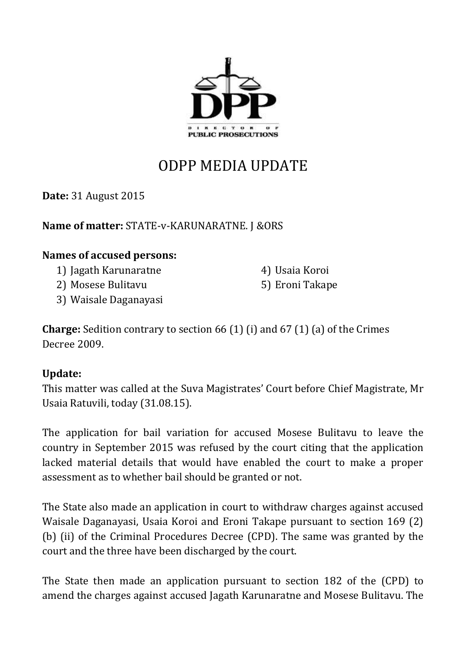

## ODPP MEDIA UPDATE

**Date:** 31 August 2015

**Name of matter:** STATE-v-KARUNARATNE. J &ORS

## **Names of accused persons:**

- 1) Jagath Karunaratne
- 2) Mosese Bulitavu
- 3) Waisale Daganayasi

4) Usaia Koroi 5) Eroni Takape

**Charge:** Sedition contrary to section 66 (1) (i) and 67 (1) (a) of the Crimes Decree 2009.

## **Update:**

This matter was called at the Suva Magistrates' Court before Chief Magistrate, Mr Usaia Ratuvili, today (31.08.15).

The application for bail variation for accused Mosese Bulitavu to leave the country in September 2015 was refused by the court citing that the application lacked material details that would have enabled the court to make a proper assessment as to whether bail should be granted or not.

The State also made an application in court to withdraw charges against accused Waisale Daganayasi, Usaia Koroi and Eroni Takape pursuant to section 169 (2) (b) (ii) of the Criminal Procedures Decree (CPD). The same was granted by the court and the three have been discharged by the court.

The State then made an application pursuant to section 182 of the (CPD) to amend the charges against accused Jagath Karunaratne and Mosese Bulitavu. The